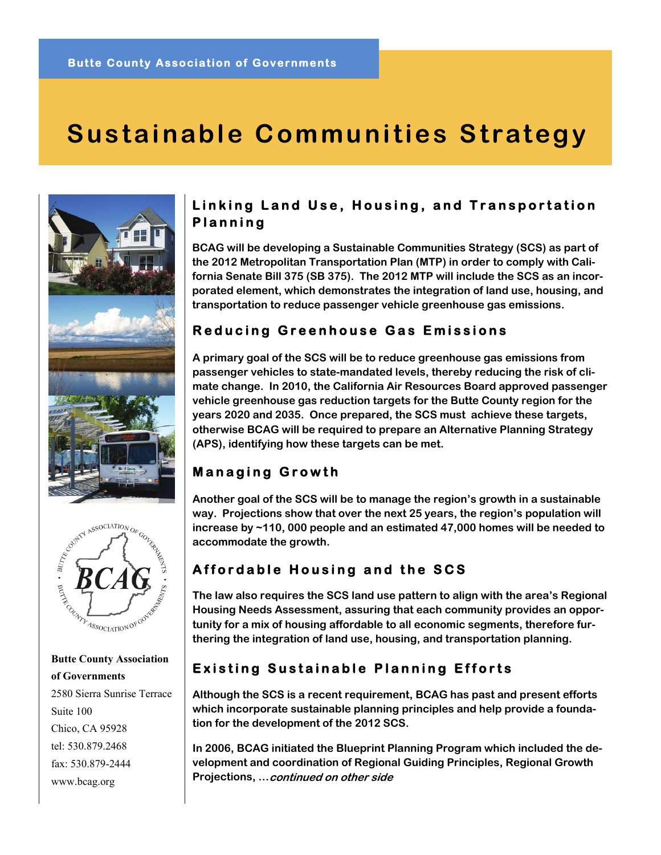# **Sustainable Communities Strategy**





 **Butte County Association of Governments** 2580 Sierra Sunrise Terrace Suite 100 Chico, CA 95928 tel: 530.879.2468 fax: 530.879-2444 www.bcag.org

### **Linking Land Use, Housing, and Transportation Planning**

**BCAG will be developing a Sustainable Communities Strategy (SCS) as part of the 2012 Metropolitan Transportation Plan (MTP) in order to comply with California Senate Bill 375 (SB 375). The 2012 MTP will include the SCS as an incorporated element, which demonstrates the integration of land use, housing, and transportation to reduce passenger vehicle greenhouse gas emissions.** 

### **Reducing Greenhouse Gas Emissions**

**A primary goal of the SCS will be to reduce greenhouse gas emissions from passenger vehicles to state-mandated levels, thereby reducing the risk of climate change. In 2010, the California Air Resources Board approved passenger vehicle greenhouse gas reduction targets for the Butte County region for the years 2020 and 2035. Once prepared, the SCS must achieve these targets, otherwise BCAG will be required to prepare an Alternative Planning Strategy (APS), identifying how these targets can be met.** 

### **Managing Growth**

**Another goal of the SCS will be to manage the region's growth in a sustainable way. Projections show that over the next 25 years, the region's population will increase by ~110, 000 people and an estimated 47,000 homes will be needed to accommodate the growth.** 

### **Affordable Housing and the SCS**

**The law also requires the SCS land use pattern to align with the area's Regional Housing Needs Assessment, assuring that each community provides an opportunity for a mix of housing affordable to all economic segments, therefore furthering the integration of land use, housing, and transportation planning.** 

## **Existing Sustainable Planning Efforts**

**Although the SCS is a recent requirement, BCAG has past and present efforts which incorporate sustainable planning principles and help provide a foundation for the development of the 2012 SCS.** 

**In 2006, BCAG initiated the Blueprint Planning Program which included the development and coordination of Regional Guiding Principles, Regional Growth Projections, …continued on other side**